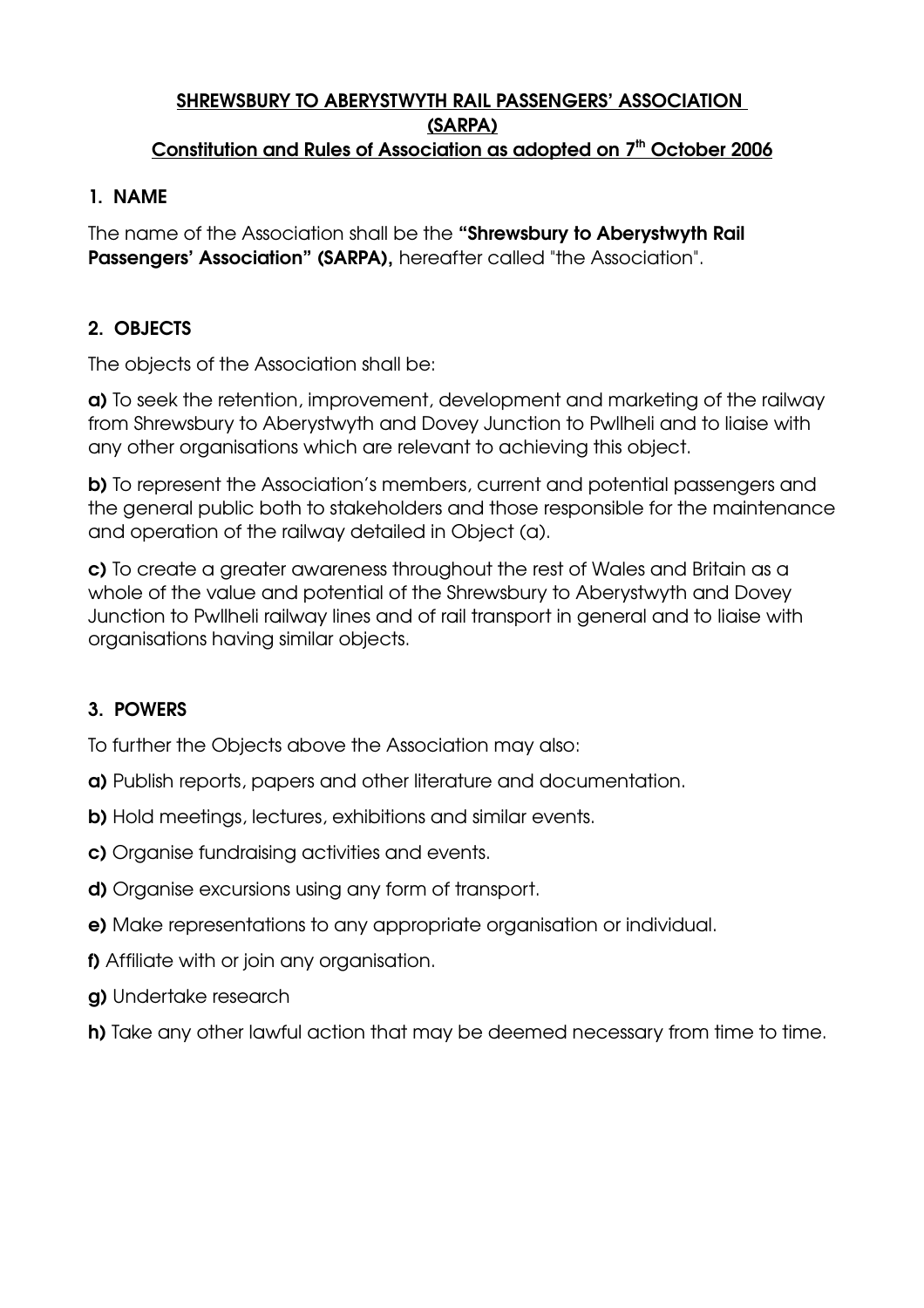#### SHREWSBURY TO ABERYSTWYTH RAIL PASSENGERS' ASSOCIATION (SARPA) Constitution and Rules of Association as adopted on 7<sup>th</sup> October 2006

#### 1. NAME

The name of the Association shall be the "Shrewsbury to Aberystwyth Rail Passengers' Association" (SARPA), hereafter called "the Association".

## 2. OBJECTS

The objects of the Association shall be:

a) To seek the retention, improvement, development and marketing of the railway from Shrewsbury to Aberystwyth and Dovey Junction to Pwllheli and to liaise with any other organisations which are relevant to achieving this object.

b) To represent the Association's members, current and potential passengers and the general public both to stakeholders and those responsible for the maintenance and operation of the railway detailed in Object (a).

c) To create a greater awareness throughout the rest of Wales and Britain as a whole of the value and potential of the Shrewsbury to Aberystwyth and Dovey Junction to Pwllheli railway lines and of rail transport in general and to liaise with organisations having similar objects.

### 3. POWERS

To further the Objects above the Association may also:

- a) Publish reports, papers and other literature and documentation.
- b) Hold meetings, lectures, exhibitions and similar events.
- c) Organise fundraising activities and events.
- d) Organise excursions using any form of transport.
- e) Make representations to any appropriate organisation or individual.
- f) Affiliate with or join any organisation.
- g) Undertake research
- h) Take any other lawful action that may be deemed necessary from time to time.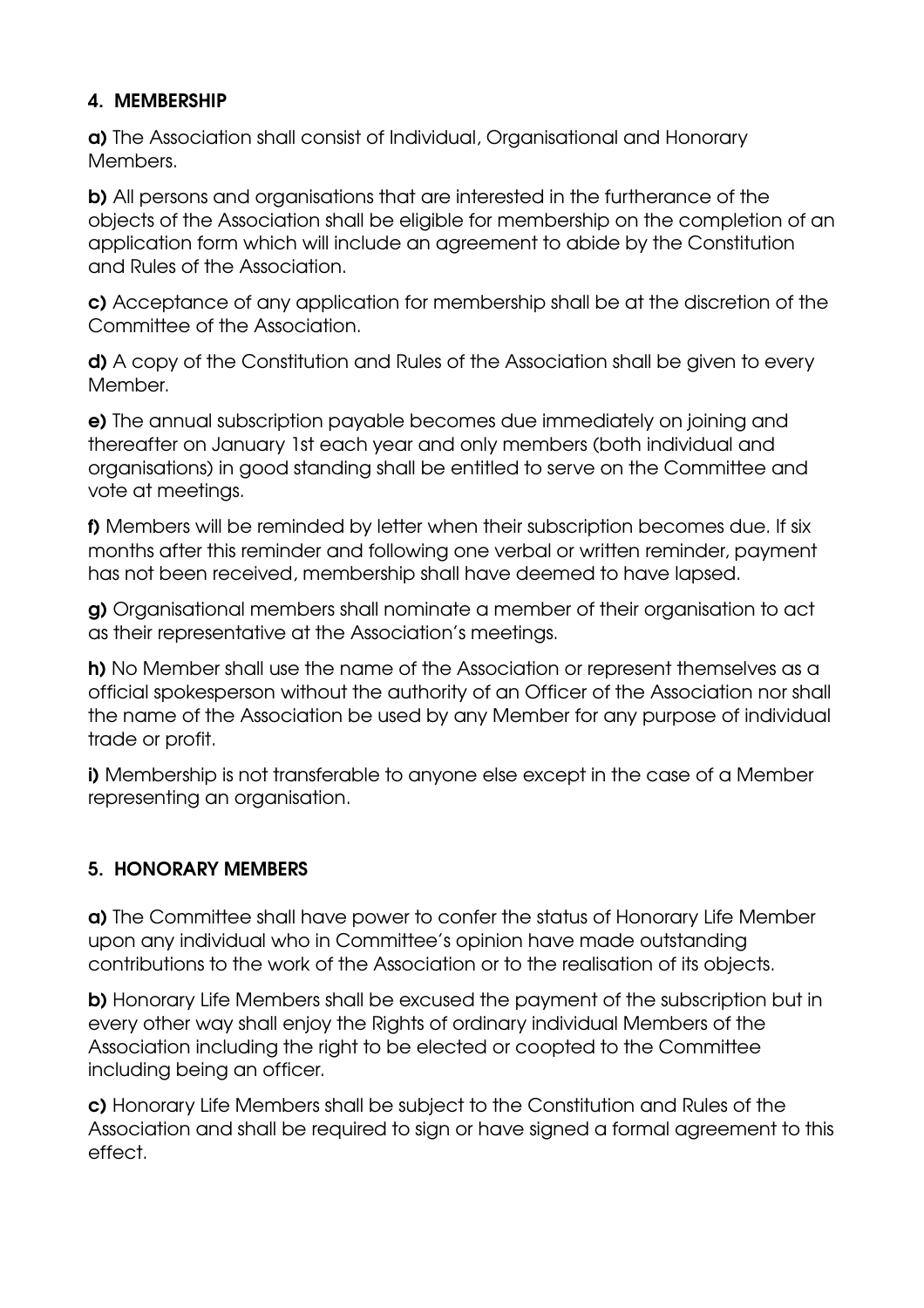### 4. MEMBERSHIP

a) The Association shall consist of Individual, Organisational and Honorary Members.

b) All persons and organisations that are interested in the furtherance of the objects of the Association shall be eligible for membership on the completion of an application form which will include an agreement to abide by the Constitution and Rules of the Association.

c) Acceptance of any application for membership shall be at the discretion of the Committee of the Association.

d) A copy of the Constitution and Rules of the Association shall be given to every Member.

e) The annual subscription payable becomes due immediately on joining and thereafter on January 1st each year and only members (both individual and organisations) in good standing shall be entitled to serve on the Committee and vote at meetings.

f) Members will be reminded by letter when their subscription becomes due. If six months after this reminder and following one verbal or written reminder, payment has not been received, membership shall have deemed to have lapsed.

g) Organisational members shall nominate a member of their organisation to act as their representative at the Association's meetings.

h) No Member shall use the name of the Association or represent themselves as a official spokesperson without the authority of an Officer of the Association nor shall the name of the Association be used by any Member for any purpose of individual trade or profit.

i) Membership is not transferable to anyone else except in the case of a Member representing an organisation.

# 5. HONORARY MEMBERS

a) The Committee shall have power to confer the status of Honorary Life Member upon any individual who in Committee's opinion have made outstanding contributions to the work of the Association or to the realisation of its objects.

b) Honorary Life Members shall be excused the payment of the subscription but in every other way shall enjoy the Rights of ordinary individual Members of the Association including the right to be elected or coopted to the Committee including being an officer.

c) Honorary Life Members shall be subject to the Constitution and Rules of the Association and shall be required to sign or have signed a formal agreement to this effect.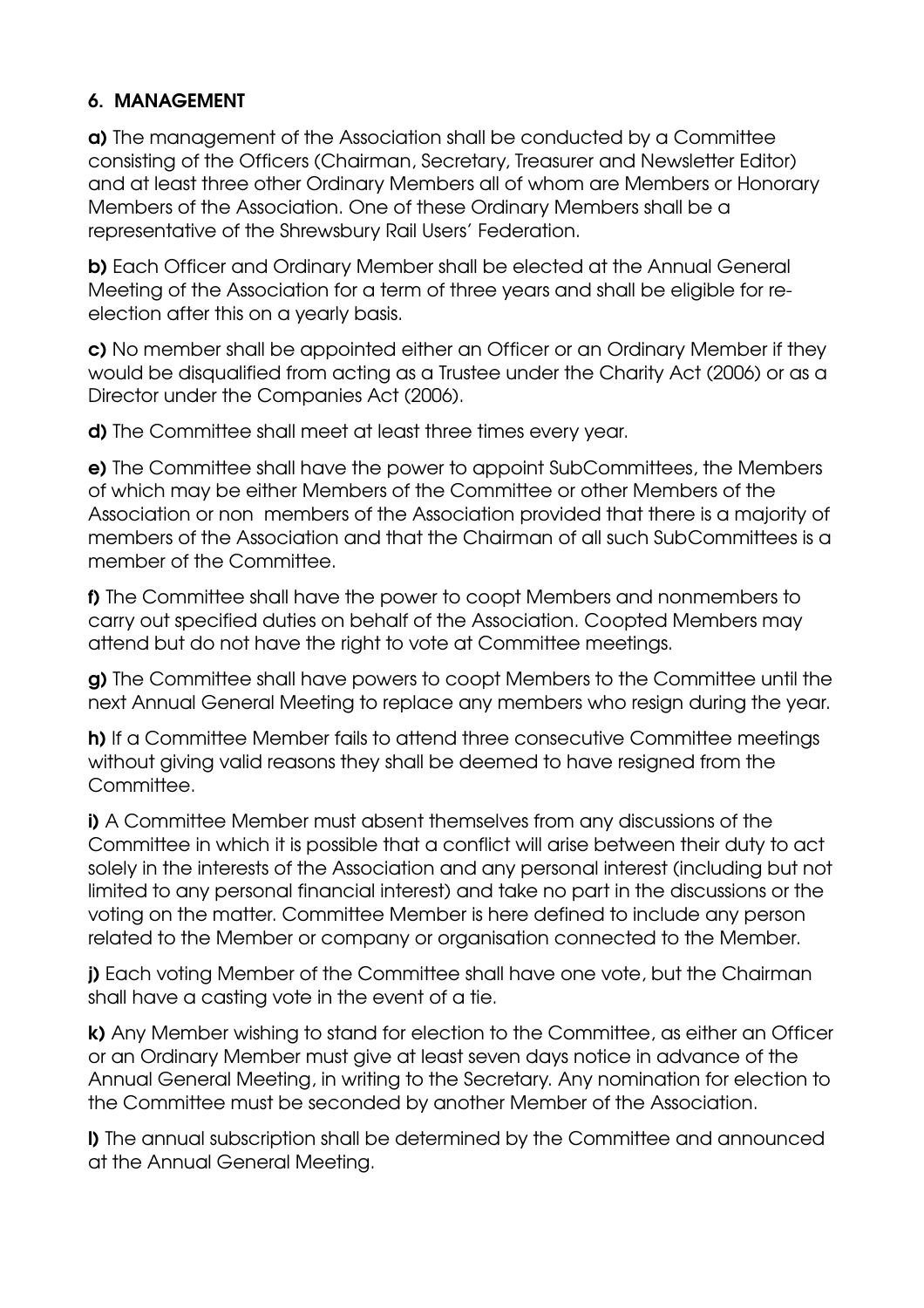#### 6. MANAGEMENT

a) The management of the Association shall be conducted by a Committee consisting of the Officers (Chairman, Secretary, Treasurer and Newsletter Editor) and at least three other Ordinary Members all of whom are Members or Honorary Members of the Association. One of these Ordinary Members shall be a representative of the Shrewsbury Rail Users' Federation.

b) Each Officer and Ordinary Member shall be elected at the Annual General Meeting of the Association for a term of three years and shall be eligible for reelection after this on a yearly basis.

c) No member shall be appointed either an Officer or an Ordinary Member if they would be disqualified from acting as a Trustee under the Charity Act (2006) or as a Director under the Companies Act (2006).

d) The Committee shall meet at least three times every year.

e) The Committee shall have the power to appoint SubCommittees, the Members of which may be either Members of the Committee or other Members of the Association or non members of the Association provided that there is a majority of members of the Association and that the Chairman of all such SubCommittees is a member of the Committee.

f) The Committee shall have the power to coopt Members and nonmembers to carry out specified duties on behalf of the Association. Coopted Members may attend but do not have the right to vote at Committee meetings.

g) The Committee shall have powers to coopt Members to the Committee until the next Annual General Meeting to replace any members who resign during the year.

h) If a Committee Member fails to attend three consecutive Committee meetings without giving valid reasons they shall be deemed to have resigned from the Committee.

i) A Committee Member must absent themselves from any discussions of the Committee in which it is possible that a conflict will arise between their duty to act solely in the interests of the Association and any personal interest (including but not limited to any personal financial interest) and take no part in the discussions or the voting on the matter. Committee Member is here defined to include any person related to the Member or company or organisation connected to the Member.

j) Each voting Member of the Committee shall have one vote, but the Chairman shall have a casting vote in the event of a tie.

k) Any Member wishing to stand for election to the Committee, as either an Officer or an Ordinary Member must give at least seven days notice in advance of the Annual General Meeting, in writing to the Secretary. Any nomination for election to the Committee must be seconded by another Member of the Association.

l) The annual subscription shall be determined by the Committee and announced at the Annual General Meeting.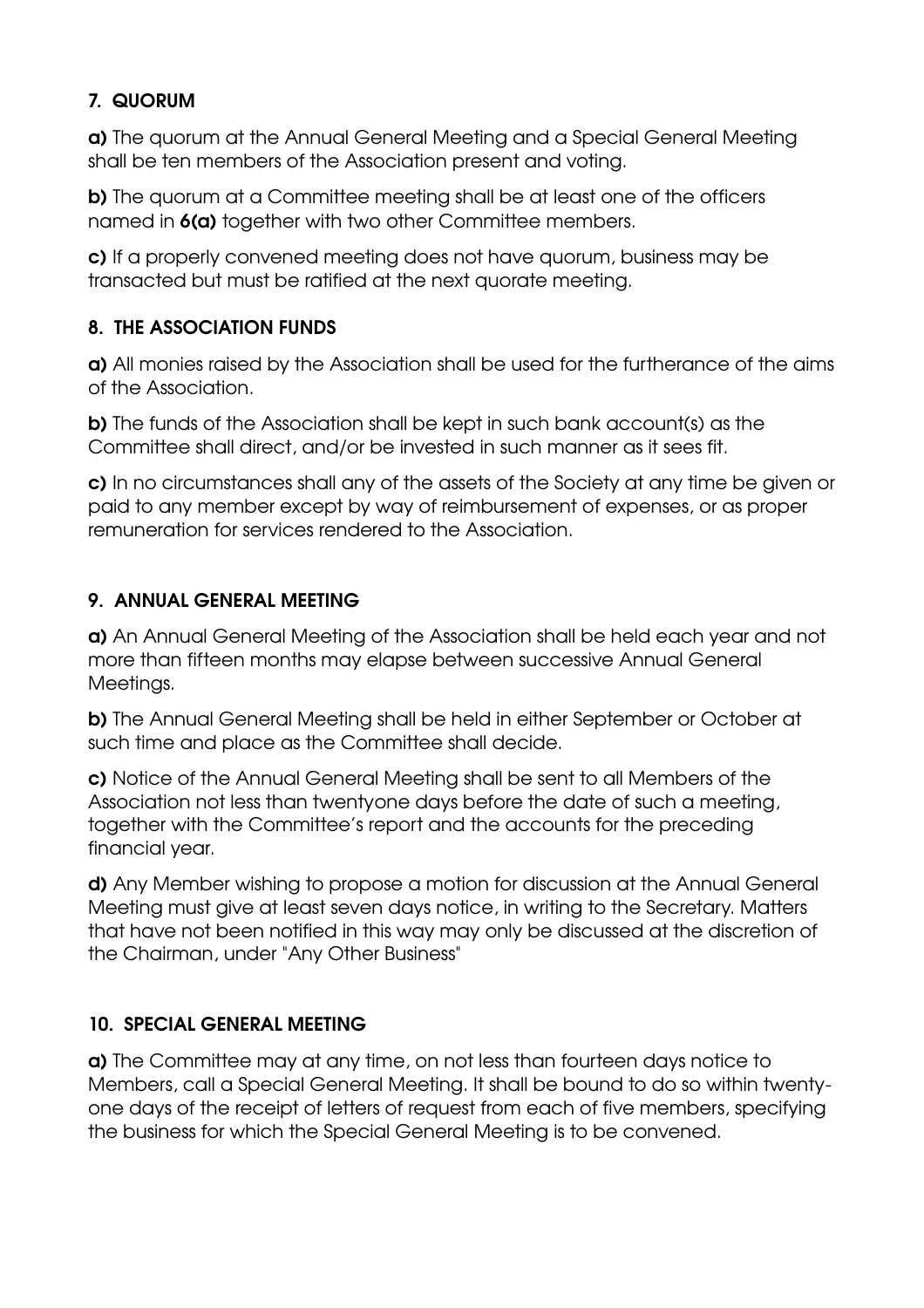## 7. QUORUM

a) The quorum at the Annual General Meeting and a Special General Meeting shall be ten members of the Association present and voting.

b) The quorum at a Committee meeting shall be at least one of the officers named in  $6(a)$  together with two other Committee members.

c) If a properly convened meeting does not have quorum, business may be transacted but must be ratified at the next quorate meeting.

## 8. THE ASSOCIATION FUNDS

a) All monies raised by the Association shall be used for the furtherance of the aims of the Association.

b) The funds of the Association shall be kept in such bank account(s) as the Committee shall direct, and/or be invested in such manner as it sees fit.

c) In no circumstances shall any of the assets of the Society at any time be given or paid to any member except by way of reimbursement of expenses, or as proper remuneration for services rendered to the Association.

## 9. ANNUAL GENERAL MEETING

a) An Annual General Meeting of the Association shall be held each year and not more than fifteen months may elapse between successive Annual General Meetings.

b) The Annual General Meeting shall be held in either September or October at such time and place as the Committee shall decide.

c) Notice of the Annual General Meeting shall be sent to all Members of the Association not less than twentyone days before the date of such a meeting, together with the Committee's report and the accounts for the preceding financial year.

d) Any Member wishing to propose a motion for discussion at the Annual General Meeting must give at least seven days notice, in writing to the Secretary. Matters that have not been notified in this way may only be discussed at the discretion of the Chairman, under "Any Other Business"

# 10. SPECIAL GENERAL MEETING

a) The Committee may at any time, on not less than fourteen days notice to Members, call a Special General Meeting. It shall be bound to do so within twentyone days of the receipt of letters of request from each of five members, specifying the business for which the Special General Meeting is to be convened.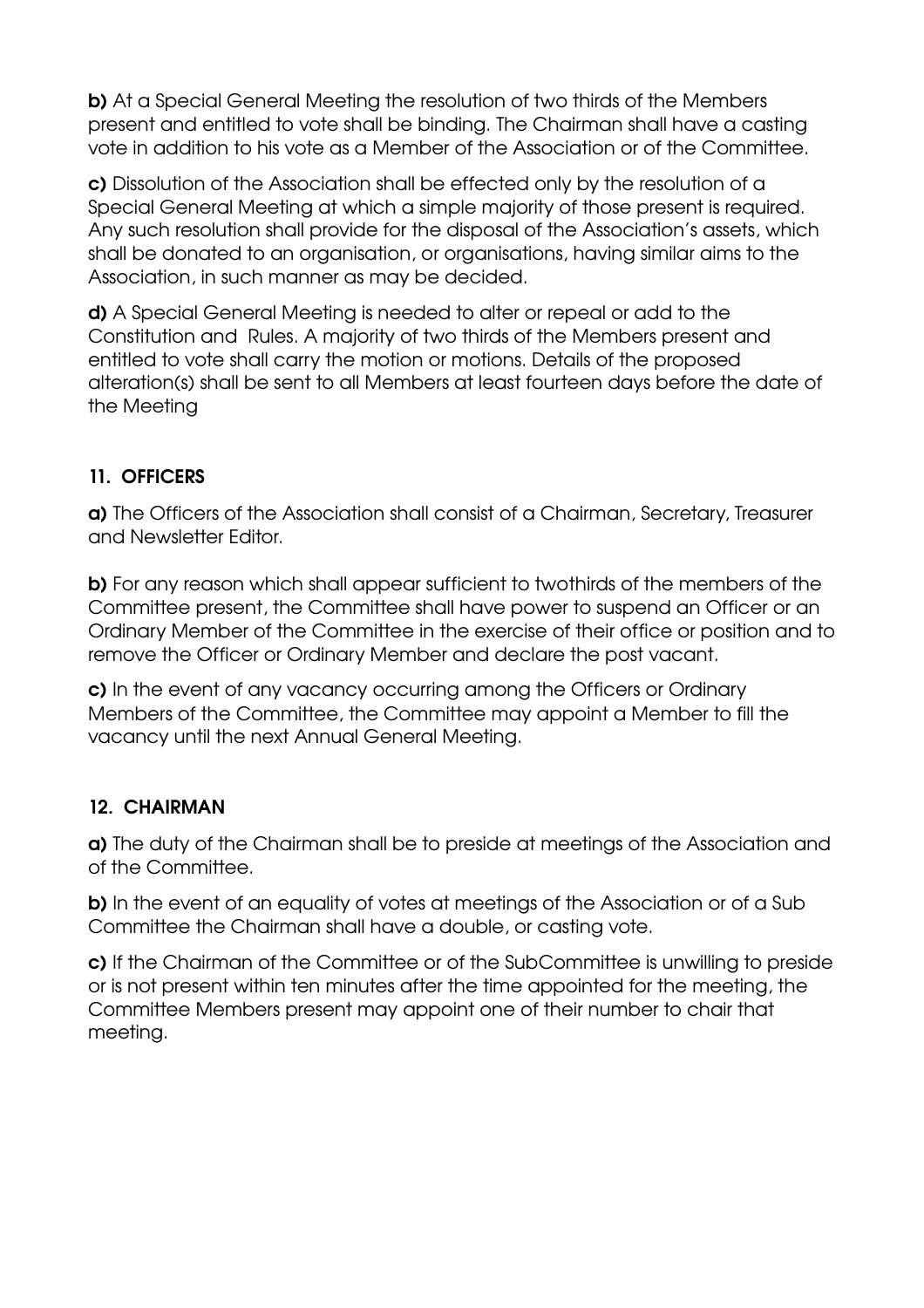b) At a Special General Meeting the resolution of two thirds of the Members present and entitled to vote shall be binding. The Chairman shall have a casting vote in addition to his vote as a Member of the Association or of the Committee.

c) Dissolution of the Association shall be effected only by the resolution of a Special General Meeting at which a simple majority of those present is required. Any such resolution shall provide for the disposal of the Association's assets, which shall be donated to an organisation, or organisations, having similar aims to the Association, in such manner as may be decided.

d) A Special General Meeting is needed to alter or repeal or add to the Constitution and Rules. A majority of two thirds of the Members present and entitled to vote shall carry the motion or motions. Details of the proposed alteration(s) shall be sent to all Members at least fourteen days before the date of the Meeting

# 11. OFFICERS

a) The Officers of the Association shall consist of a Chairman, Secretary, Treasurer and Newsletter Editor.

b) For any reason which shall appear sufficient to twothirds of the members of the Committee present, the Committee shall have power to suspend an Officer or an Ordinary Member of the Committee in the exercise of their office or position and to remove the Officer or Ordinary Member and declare the post vacant.

c) In the event of any vacancy occurring among the Officers or Ordinary Members of the Committee, the Committee may appoint a Member to fill the vacancy until the next Annual General Meeting.

### 12. CHAIRMAN

a) The duty of the Chairman shall be to preside at meetings of the Association and of the Committee.

b) In the event of an equality of votes at meetings of the Association or of a Sub Committee the Chairman shall have a double, or casting vote.

c) If the Chairman of the Committee or of the SubCommittee is unwilling to preside or is not present within ten minutes after the time appointed for the meeting, the Committee Members present may appoint one of their number to chair that meeting.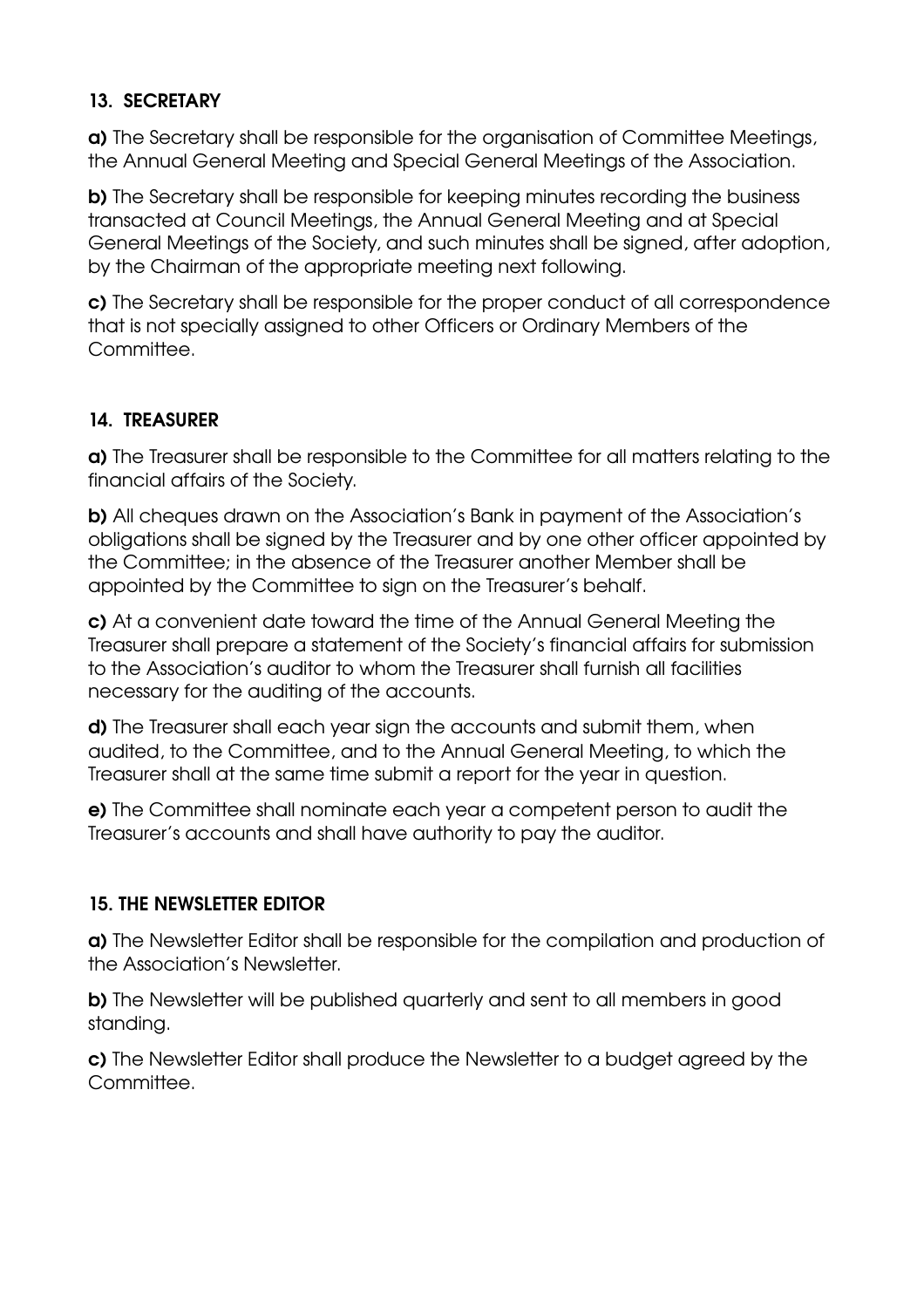### 13. SECRETARY

a) The Secretary shall be responsible for the organisation of Committee Meetings, the Annual General Meeting and Special General Meetings of the Association.

b) The Secretary shall be responsible for keeping minutes recording the business transacted at Council Meetings, the Annual General Meeting and at Special General Meetings of the Society, and such minutes shall be signed, after adoption, by the Chairman of the appropriate meeting next following.

c) The Secretary shall be responsible for the proper conduct of all correspondence that is not specially assigned to other Officers or Ordinary Members of the Committee.

## 14. TREASURER

a) The Treasurer shall be responsible to the Committee for all matters relating to the financial affairs of the Society.

b) All cheques drawn on the Association's Bank in payment of the Association's obligations shall be signed by the Treasurer and by one other officer appointed by the Committee; in the absence of the Treasurer another Member shall be appointed by the Committee to sign on the Treasurer's behalf.

c) At a convenient date toward the time of the Annual General Meeting the Treasurer shall prepare a statement of the Society's financial affairs for submission to the Association's auditor to whom the Treasurer shall furnish all facilities necessary for the auditing of the accounts.

d) The Treasurer shall each year sign the accounts and submit them, when audited, to the Committee, and to the Annual General Meeting, to which the Treasurer shall at the same time submit a report for the year in question.

e) The Committee shall nominate each year a competent person to audit the Treasurer's accounts and shall have authority to pay the auditor.

# 15. THE NEWSLETTER EDITOR

a) The Newsletter Editor shall be responsible for the compilation and production of the Association's Newsletter.

b) The Newsletter will be published quarterly and sent to all members in good standing.

c) The Newsletter Editor shall produce the Newsletter to a budget agreed by the Committee.